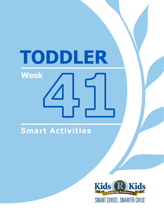# TODDLER **Week**

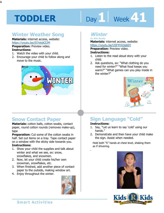# Day 1 **Week 41**

#### **Winter Weather Song**

**Materials:** internet access, website: https://youtu.be/j57olsjKZ2M **Preparation:** Preview video.

#### **Instructions:**

- 1. Watch the video with your child.
- 2. Encourage your child to follow along and move to the music.



#### **Winter**

**by Ailie Busby Materials:** internet access, website:

https://youtu.be/U5F4YA3g60Y<br>**Preparation:** Preview video.<br>**Instructions:**<br>1. Lister to the read aloud star with w **Preparation:** Preview video.

#### **Instructions:**

- 1. Listen to the read aloud story with your child.
- 2. Ask questions, ex: "What clothing do you need for winter?" "What food keeps you warm?" "What games can you play inside in the winter?"



#### **Snow Contact Paper**

**Materials:** cotton balls, cotton swabs, contact paper, round cotton rounds (removes make-up), tape

**Preparation:** Cut some of the cotton swabs in half. Set out items on a tray. Tape contact paper on a window with the sticky side towards you.

#### **Instructions:**

- 1. Show your child the supplies and talk about winter and what we see, ex: snow, snowflakes, and snowmen.
- 2. Now, let your child create his/her own snowman, snowflakes, etc.
- 3. When finished, add another piece of contact paper to the outside, making window art.
- 4. Enjoy throughout the winter.



#### **Sign Language "Cold"**

#### **Instructions:**

.

- 1. Say, "Let us learn to say 'cold' using our hands."
- 2. Demonstrate and then have your child make the sign. Assist when needed.

Hold both "S" hands at chest level, shaking them as if shivering.



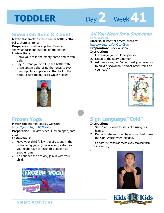# Day 2 **Week 41**

#### **Snowman Build & Count**

**Materials:** empty coffee creamer bottle, cotton balls, sharpies, tongs

**Preparation:** Gather supplies. Draw a snowman face and buttons on the bottle.

#### **Instructions:**

- 1. Show your child the empty bottle and cotton balls.
- 2. Say, "I want you to fill up the bottle with these cotton balls, using the tongs to pick them up. As you place a cotton ball in the bottle, count them. Assist when needed.



#### **Frozen Yoga**

**Materials:** internet access, website: https://youtu.be/xlg052EKMtk

**Preparation:** Preview video. Find an open, safe area.

#### **Instructions:**

- 1. Have your child follow the directions in the video doing yoga. (This is a long video, so you might have to finish this session at another time.)
- 2. To enhance the activity, join in with your child.



#### **All You Need for a Snowman**

#### **by Alice Schertle**

**Materials:** internet access, website:

https://youtu.be/o-v0Lp-IBqw

**Preparation:** Preview video.

#### **Instructions:**

- 1. Encourage your child to join you.
- 2. Listen to the story together.
- 3. Ask questions, i.e. "What must you have first to build a snowman?" "What other items do you need?"



#### **Sign Language "Cold"**

#### **Instructions:**

.

- 1. Say, "Let us learn to say 'cold' using our hands."
- 2. Demonstrate and then have your child make the sign. Assist when needed.

Hold both "S" hands at chest level, shaking them as if shivering.



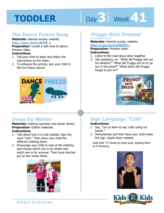# Day 3 **Week 41**

#### **The Dance Freeze Song**

**Materials:** internet access, website: https://youtu.be/A1vdKfXlB\_g

**Preparation:** Locate a safe area to dance. Preview video.

#### **Instructions:**

- 1. Tell your child to listen and follow the instructions on the video.
- 2. To enhance the activity, join your child in this fun freeze dance!



#### **Dress for Winter**

**Materials:** clothing (summer and winter items) **Preparation: Gather materials. Instructions:** 

- 1. Talk about how it is cold outside. Sign the word "cold." Then show your child the different clothing items.
- 2. Encourage your child to look at the clothing and choose which one is for winter and which one is for summer. Then have him/her put on the winter items.



#### **Froggy Gets Dressed**

#### **by Jonathan London**

**Materials:** internet access, website: https://youtu.be/UveFBZ6Nn-c

**1**<br> **1**<br> **11**<br> **12**<br> **12**<br> **12**<br> **12**<br> **12**<br> **12**<br> **12**<br> **12**<br> **12**<br> **12**<br> **12**<br> **12**<br> **12**<br> **12**<br> **12**<br> **12**<br> **12**<br> **12**<br> **12**<br> **12**<br> **12**<br> **12**<br> **12**<br> **12**<br> **12**<br> **12**<br> **12**<br> **12**<br> **12**<br> **12**<br> **12**<br> **12**<br> **12**<br> **12**<br> **1 Preparation:** Preview video. **Instructions:** 

- 1. Listen to the read aloud story together.
- 2. Ask questions, ex: "What did Froggy see out his window?" "What did Froggy put on to go out in the snow?" "What items did Froggy forget to put on?"



#### **Sign Language "Cold"**

#### **Instructions:**

.

- 1. Say, "Let us learn to say 'cold' using our hands."
- 2. Demonstrate and then have your child make the sign. Assist when needed.

Hold both "S" hands at chest level, shaking them as if shivering.



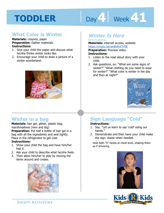# Day 4 | Week 41

#### **What Color is Winter**

**Materials:** crayons, paper **Preparation:** Gather materials. **Instructions:** 

- 1. Give your child the paper and discuss what he/she thinks winter looks like.
- 2. Encourage your child to draw a picture of a winter wonderland.



#### **Winter in a bag**

**Materials:** hair gel, glitter, plastic bag, marshmallows (mini and big)

**Preparation:** Put half a bottle of hair gel in a bag with all the ingredients and seal tightly. Place in the refrigerator to get cold.

#### **Instructions:**

- 1. Show your child the bag and have him/her feel it.
- 2. Ask your child to describe what he/she feels.
- 3. Then allow him/her to play by moving the items around and create.



#### **Winter Is Here by Kevin Henkes**

**1s:** Internet access, website:<br><u>outu.be/anByRvtTrDE</u><br>**tion:** Preview video.<br>**tions: Materials:** internet access, website: https://youtu.be/anByRvtTrDE

**Preparation:** Preview video.

#### **Instructions:**

- 1. Listen to the read aloud story with your child.
- 2. Ask questions, ex: "What are some signs of winter?" "What clothing do you need to wear for winter?" "What color is winter in the day and then at night?"



#### **Sign Language "Cold"**

#### **Instructions:**

.

- 1. Say, "Let us learn to say 'cold' using our hands."
- 2. Demonstrate and then have your child make the sign. Assist when needed.

Hold both "S" hands at chest level, shaking them as if shivering.